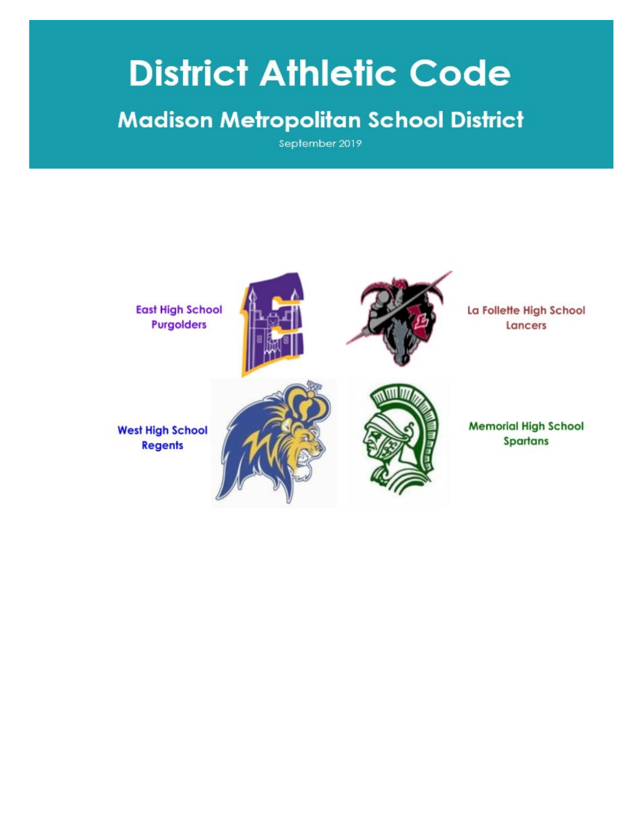# **District Athletic Code**

### **Madison Metropolitan School District**

September 2019

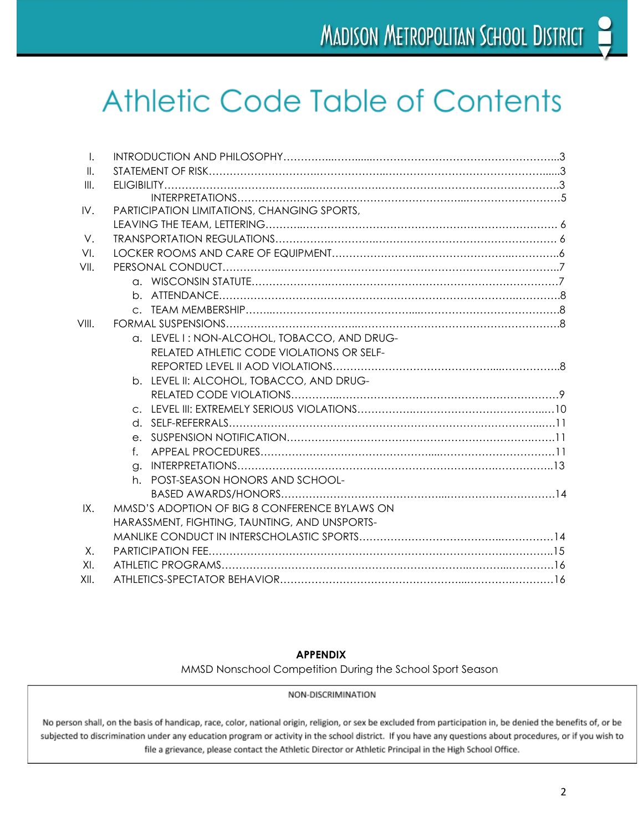## **Athletic Code Table of Contents**

| $\mathsf{L}$    |                                               |
|-----------------|-----------------------------------------------|
| $\mathbf{II}$ . |                                               |
| III.            |                                               |
|                 |                                               |
| IV.             | PARTICIPATION LIMITATIONS, CHANGING SPORTS,   |
|                 |                                               |
| V.              |                                               |
| VI.             |                                               |
| VII.            |                                               |
|                 |                                               |
|                 |                                               |
|                 |                                               |
| VIII.           |                                               |
|                 | a. LEVEL I: NON-ALCOHOL, TOBACCO, AND DRUG-   |
|                 | RELATED ATHLETIC CODE VIOLATIONS OR SELF-     |
|                 |                                               |
|                 | b. LEVEL II: ALCOHOL, TOBACCO, AND DRUG-      |
|                 |                                               |
|                 |                                               |
|                 |                                               |
|                 |                                               |
|                 | $f_{\perp}$                                   |
|                 |                                               |
|                 | h. POST-SEASON HONORS AND SCHOOL-             |
|                 |                                               |
| IX.             | MMSD'S ADOPTION OF BIG 8 CONFERENCE BYLAWS ON |
|                 | HARASSMENT, FIGHTING, TAUNTING, AND UNSPORTS- |
|                 |                                               |
| Χ.              |                                               |
| XL              |                                               |
|                 |                                               |
| XII.            |                                               |

#### **APPENDIX**

MMSD Nonschool Competition During the School Sport Season

NON-DISCRIMINATION

No person shall, on the basis of handicap, race, color, national origin, religion, or sex be excluded from participation in, be denied the benefits of, or be subjected to discrimination under any education program or activity in the school district. If you have any questions about procedures, or if you wish to<br>file a grievance, please contact the Athletic Director or Athletic P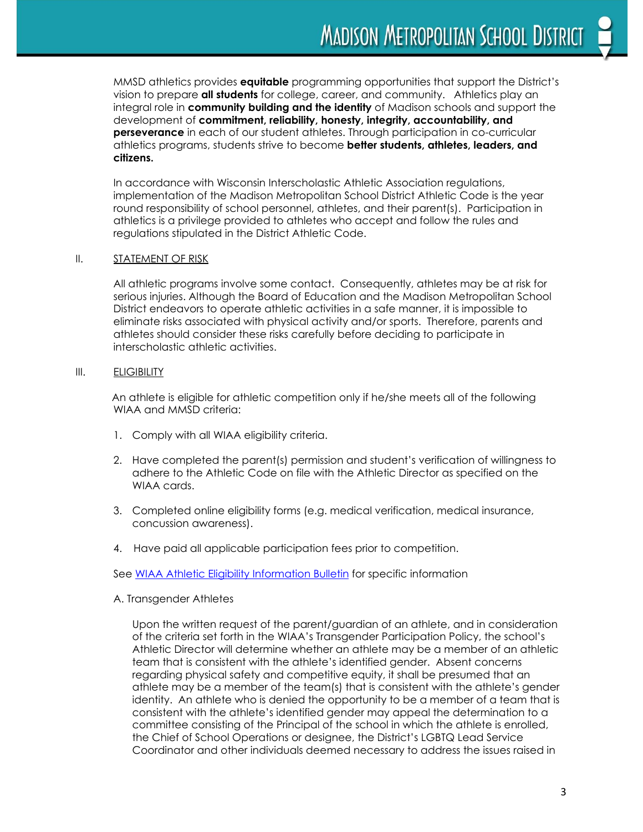MMSD athletics provides **equitable** programming opportunities that support the District's vision to prepare **all students** for college, career, and community. Athletics play an integral role in **community building and the identity** of Madison schools and support the development of **commitment, reliability, honesty, integrity, accountability, and perseverance** in each of our student athletes. Through participation in co-curricular athletics programs, students strive to become **better students, athletes, leaders, and citizens.**

In accordance with Wisconsin Interscholastic Athletic Association regulations, implementation of the Madison Metropolitan School District Athletic Code is the year round responsibility of school personnel, athletes, and their parent(s). Participation in athletics is a privilege provided to athletes who accept and follow the rules and regulations stipulated in the District Athletic Code.

#### II. **STATEMENT OF RISK**

All athletic programs involve some contact. Consequently, athletes may be at risk for serious injuries. Although the Board of Education and the Madison Metropolitan School District endeavors to operate athletic activities in a safe manner, it is impossible to eliminate risks associated with physical activity and/or sports. Therefore, parents and athletes should consider these risks carefully before deciding to participate in interscholastic athletic activities.

#### III. ELIGIBILITY

An athlete is eligible for athletic competition only if he/she meets all of the following WIAA and MMSD criteria:

- 1. Comply with all WIAA eligibility criteria.
- 2. Have completed the parent(s) permission and student's verification of willingness to adhere to the Athletic Code on file with the Athletic Director as specified on the WIAA cards.
- 3. Completed online eligibility forms (e.g. medical verification, medical insurance, concussion awareness).
- 4. Have paid all applicable participation fees prior to competition.

See WIAA Athletic Eligibility [Information](https://www.wiaawi.org/Portals/0/PDF/Eligibility/eligibilityinfoform.pdf) Bulletin for specific information

#### A. Transgender Athletes

Upon the written request of the parent/guardian of an athlete, and in consideration of the criteria set forth in the WIAA's Transgender Participation Policy, the school's Athletic Director will determine whether an athlete may be a member of an athletic team that is consistent with the athlete's identified gender. Absent concerns regarding physical safety and competitive equity, it shall be presumed that an athlete may be a member of the team(s) that is consistent with the athlete's gender identity. An athlete who is denied the opportunity to be a member of a team that is consistent with the athlete's identified gender may appeal the determination to a committee consisting of the Principal of the school in which the athlete is enrolled, the Chief of School Operations or designee, the District's LGBTQ Lead Service Coordinator and other individuals deemed necessary to address the issues raised in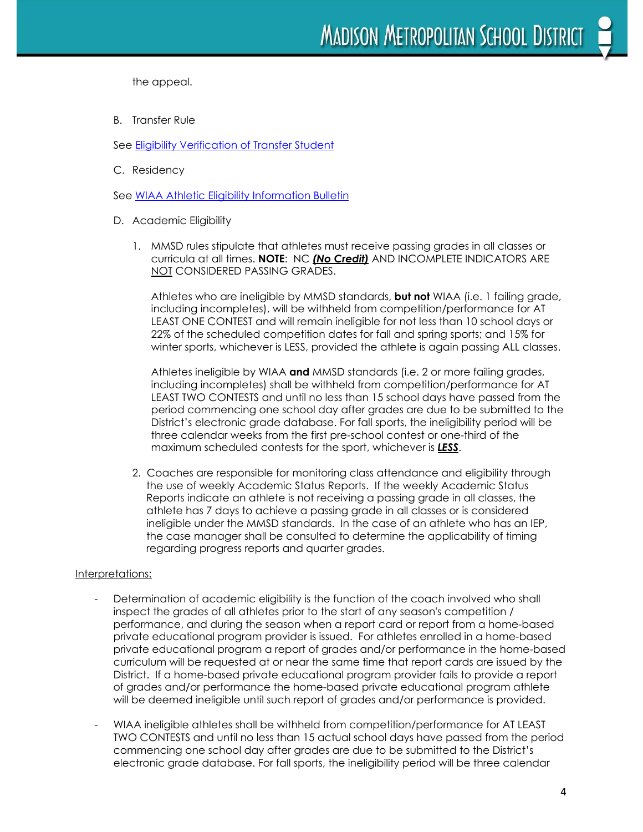the appeal.

B. Transfer Rule

See Eligibility [Verification](https://www.wiaawi.org/Portals/0/PDF/Eligibility/EligibilityClarification.pdf) of Transfer Student

C. Residency

See WIAA Athletic Eligibility [Information](https://www.wiaawi.org/Portals/0/PDF/Eligibility/eligibilityinfoform.pdf) Bulletin

- D. Academic Eligibility
	- 1. MMSD rules stipulate that athletes must receive passing grades in all classes or curricula at all times. **NOTE**: NC *(No Credit)* AND INCOMPLETE INDICATORS ARE NOT CONSIDERED PASSING GRADES.

Athletes who are ineligible by MMSD standards, **but not** WIAA (i.e. 1 failing grade, including incompletes), will be withheld from competition/performance for AT LEAST ONE CONTEST and will remain ineligible for not less than 10 school days or 22% of the scheduled competition dates for fall and spring sports; and 15% for winter sports, whichever is LESS, provided the athlete is again passing ALL classes.

Athletes ineligible by WIAA **and** MMSD standards (i.e. 2 or more failing grades, including incompletes) shall be withheld from competition/performance for AT LEAST TWO CONTESTS and until no less than 15 school days have passed from the period commencing one school day after grades are due to be submitted to the District's electronic grade database. For fall sports, the ineligibility period will be three calendar weeks from the first pre-school contest or one-third of the maximum scheduled contests for the sport, whichever is *LESS*.

2. Coaches are responsible for monitoring class attendance and eligibility through the use of weekly Academic Status Reports. If the weekly Academic Status Reports indicate an athlete is not receiving a passing grade in all classes, the athlete has 7 days to achieve a passing grade in all classes or is considered ineligible under the MMSD standards. In the case of an athlete who has an IEP, the case manager shall be consulted to determine the applicability of timing regarding progress reports and quarter grades.

#### Interpretations:

- Determination of academic eligibility is the function of the coach involved who shall inspect the grades of all athletes prior to the start of any season's competition / performance, and during the season when a report card or report from a home-based private educational program provider is issued. For athletes enrolled in a home-based private educational program a report of grades and/or performance in the home-based curriculum will be requested at or near the same time that report cards are issued by the District. If a home-based private educational program provider fails to provide a report of grades and/or performance the home-based private educational program athlete will be deemed ineligible until such report of grades and/or performance is provided.
- WIAA ineligible athletes shall be withheld from competition/performance for AT LEAST TWO CONTESTS and until no less than 15 actual school days have passed from the period commencing one school day after grades are due to be submitted to the District's electronic grade database. For fall sports, the ineligibility period will be three calendar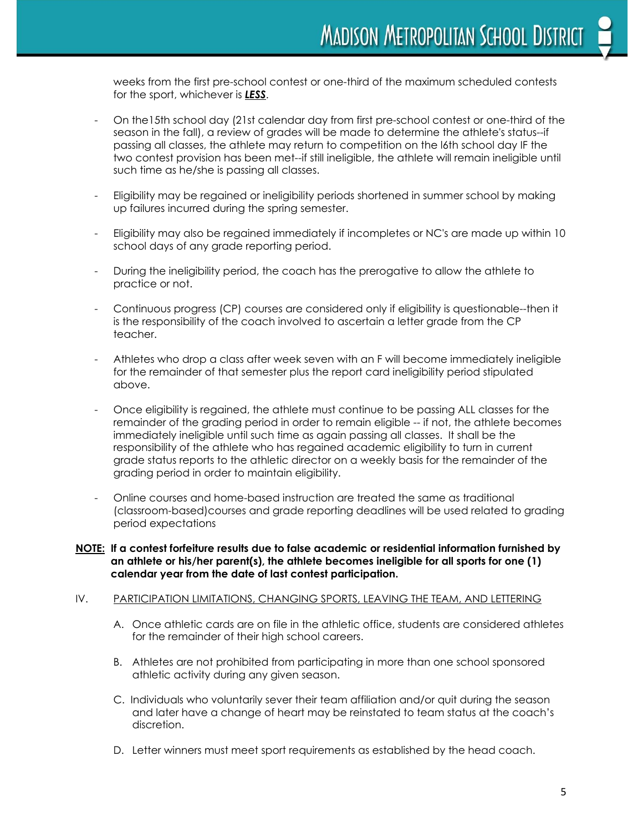weeks from the first pre-school contest or one-third of the maximum scheduled contests for the sport, whichever is *LESS*.

- On the15th school day (21st calendar day from first pre-school contest or one-third of the season in the fall), a review of grades will be made to determine the athlete's status--if passing all classes, the athlete may return to competition on the l6th school day IF the two contest provision has been met--if still ineligible, the athlete will remain ineligible until such time as he/she is passing all classes.
- Eligibility may be regained or ineligibility periods shortened in summer school by making up failures incurred during the spring semester.
- Eligibility may also be regained immediately if incompletes or NC's are made up within 10 school days of any grade reporting period.
- During the ineligibility period, the coach has the prerogative to allow the athlete to practice or not.
- Continuous progress (CP) courses are considered only if eligibility is questionable--then it is the responsibility of the coach involved to ascertain a letter grade from the CP teacher.
- Athletes who drop a class after week seven with an F will become immediately ineligible for the remainder of that semester plus the report card ineligibility period stipulated above.
- Once eligibility is regained, the athlete must continue to be passing ALL classes for the remainder of the grading period in order to remain eligible -- if not, the athlete becomes immediately ineligible until such time as again passing all classes. It shall be the responsibility of the athlete who has regained academic eligibility to turn in current grade status reports to the athletic director on a weekly basis for the remainder of the grading period in order to maintain eligibility.
- Online courses and home-based instruction are treated the same as traditional (classroom-based)courses and grade reporting deadlines will be used related to grading period expectations
- **NOTE: If a contest forfeiture results due to false academic or residential information furnished by an athlete or his/her parent(s), the athlete becomes ineligible for all sports for one (1) calendar year from the date of last contest participation.**

#### IV. PARTICIPATION LIMITATIONS, CHANGING SPORTS, LEAVING THE TEAM, AND LETTERING

- A. Once athletic cards are on file in the athletic office, students are considered athletes for the remainder of their high school careers.
- B. Athletes are not prohibited from participating in more than one school sponsored athletic activity during any given season.
- C. Individuals who voluntarily sever their team affiliation and/or quit during the season and later have a change of heart may be reinstated to team status at the coach's discretion.
- D. Letter winners must meet sport requirements as established by the head coach.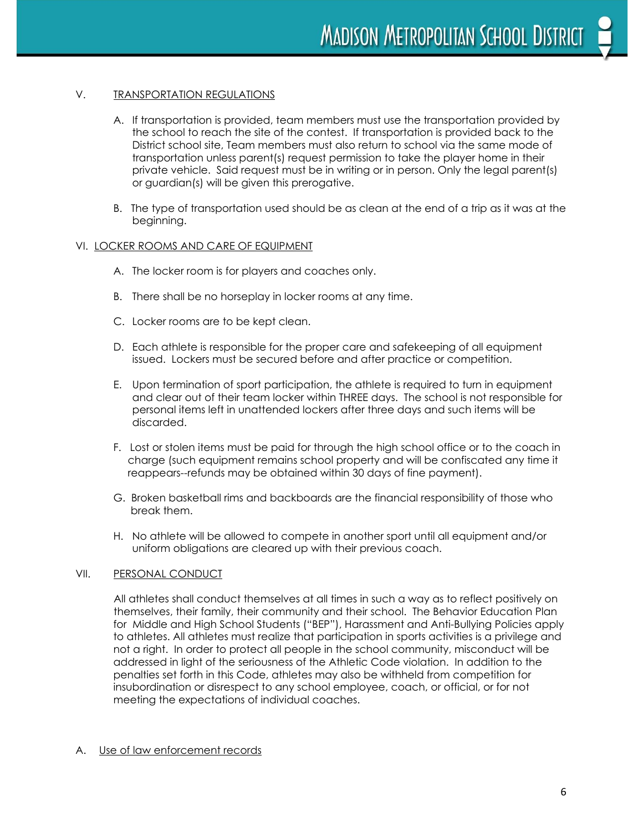#### V. TRANSPORTATION REGULATIONS

- A. If transportation is provided, team members must use the transportation provided by the school to reach the site of the contest. If transportation is provided back to the District school site, Team members must also return to school via the same mode of transportation unless parent(s) request permission to take the player home in their private vehicle. Said request must be in writing or in person. Only the legal parent(s) or guardian(s) will be given this prerogative.
- B. The type of transportation used should be as clean at the end of a trip as it was at the beginning.

#### VI. LOCKER ROOMS AND CARE OF EQUIPMENT

- A. The locker room is for players and coaches only.
- B. There shall be no horseplay in locker rooms at any time.
- C. Locker rooms are to be kept clean.
- D. Each athlete is responsible for the proper care and safekeeping of all equipment issued. Lockers must be secured before and after practice or competition.
- E. Upon termination of sport participation, the athlete is required to turn in equipment and clear out of their team locker within THREE days. The school is not responsible for personal items left in unattended lockers after three days and such items will be discarded.
- F. Lost or stolen items must be paid for through the high school office or to the coach in charge (such equipment remains school property and will be confiscated any time it reappears--refunds may be obtained within 30 days of fine payment).
- G. Broken basketball rims and backboards are the financial responsibility of those who break them.
- H. No athlete will be allowed to compete in another sport until all equipment and/or uniform obligations are cleared up with their previous coach.

#### VII. PERSONAL CONDUCT

All athletes shall conduct themselves at all times in such a way as to reflect positively on themselves, their family, their community and their school. The Behavior Education Plan for Middle and High School Students ("BEP"), Harassment and Anti-Bullying Policies apply to athletes. All athletes must realize that participation in sports activities is a privilege and not a right. In order to protect all people in the school community, misconduct will be addressed in light of the seriousness of the Athletic Code violation. In addition to the penalties set forth in this Code, athletes may also be withheld from competition for insubordination or disrespect to any school employee, coach, or official, or for not meeting the expectations of individual coaches.

#### A. Use of law enforcement records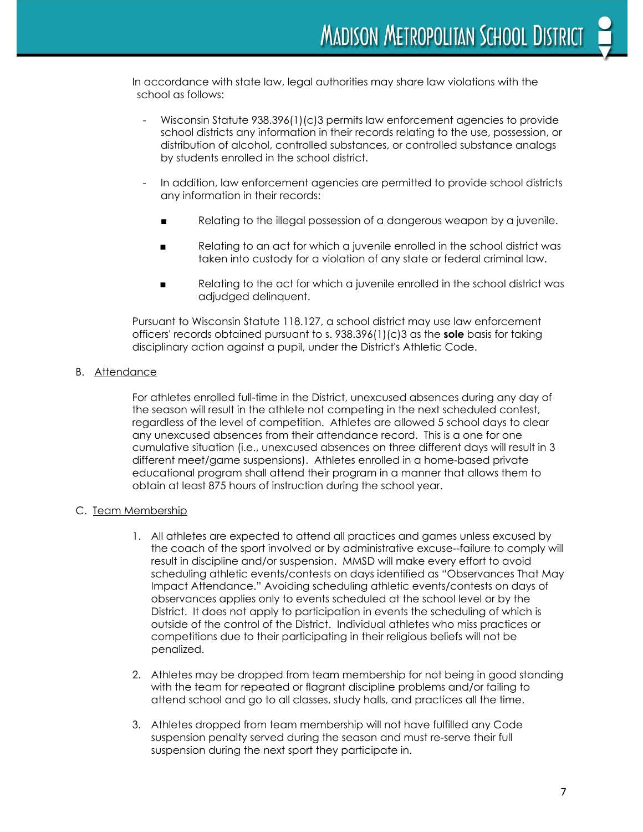In accordance with state law, legal authorities may share law violations with the school as follows:

- Wisconsin Statute 938.396(1)(c)3 permits law enforcement agencies to provide school districts any information in their records relating to the use, possession, or distribution of alcohol, controlled substances, or controlled substance analogs by students enrolled in the school district.
- In addition, law enforcement agencies are permitted to provide school districts any information in their records:
	- Relating to the illegal possession of a dangerous weapon by a juvenile.
	- Relating to an act for which a juvenile enrolled in the school district was taken into custody for a violation of any state or federal criminal law.
	- Relating to the act for which a juvenile enrolled in the school district was adjudged delinquent.

Pursuant to Wisconsin Statute 118.127, a school district may use law enforcement officers' records obtained pursuant to s. 938.396(1)(c)3 as the **sole** basis for taking disciplinary action against a pupil, under the District's Athletic Code.

#### B. Attendance

For athletes enrolled full-time in the District, unexcused absences during any day of the season will result in the athlete not competing in the next scheduled contest, regardless of the level of competition. Athletes are allowed 5 school days to clear any unexcused absences from their attendance record. This is a one for one cumulative situation (i.e., unexcused absences on three different days will result in 3 different meet/game suspensions). Athletes enrolled in a home-based private educational program shall attend their program in a manner that allows them to obtain at least 875 hours of instruction during the school year.

#### C. Team Membership

- 1. All athletes are expected to attend all practices and games unless excused by the coach of the sport involved or by administrative excuse--failure to comply will result in discipline and/or suspension. MMSD will make every effort to avoid scheduling athletic events/contests on days identified as "Observances That May Impact Attendance." Avoiding scheduling athletic events/contests on days of observances applies only to events scheduled at the school level or by the District. It does not apply to participation in events the scheduling of which is outside of the control of the District. Individual athletes who miss practices or competitions due to their participating in their religious beliefs will not be penalized.
- 2. Athletes may be dropped from team membership for not being in good standing with the team for repeated or flagrant discipline problems and/or failing to attend school and go to all classes, study halls, and practices all the time.
- 3. Athletes dropped from team membership will not have fulfilled any Code suspension penalty served during the season and must re-serve their full suspension during the next sport they participate in.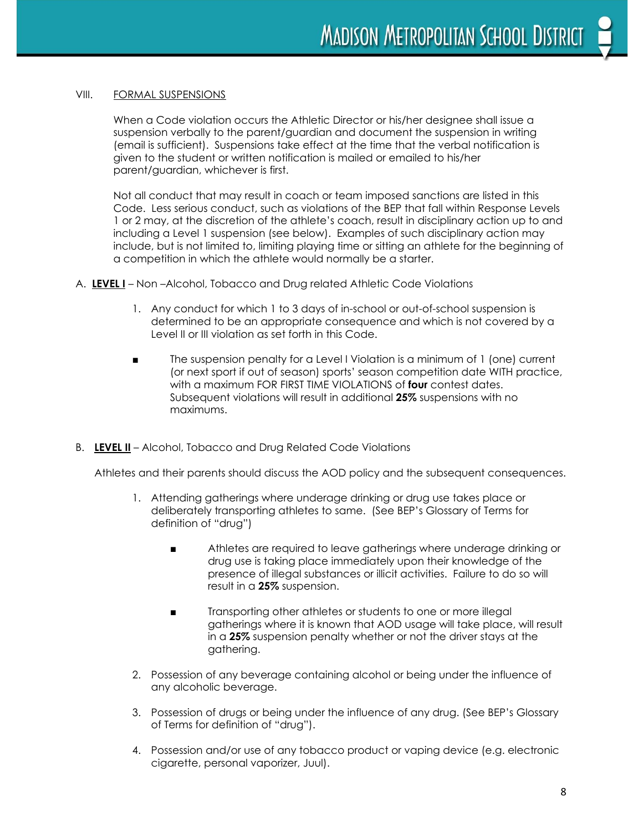#### VIII. FORMAL SUSPENSIONS

When a Code violation occurs the Athletic Director or his/her designee shall issue a suspension verbally to the parent/guardian and document the suspension in writing (email is sufficient). Suspensions take effect at the time that the verbal notification is given to the student or written notification is mailed or emailed to his/her parent/guardian, whichever is first.

Not all conduct that may result in coach or team imposed sanctions are listed in this Code. Less serious conduct, such as violations of the BEP that fall within Response Levels 1 or 2 may, at the discretion of the athlete's coach, result in disciplinary action up to and including a Level 1 suspension (see below). Examples of such disciplinary action may include, but is not limited to, limiting playing time or sitting an athlete for the beginning of a competition in which the athlete would normally be a starter.

- A. **LEVEL I** Non –Alcohol, Tobacco and Drug related Athletic Code Violations
	- 1. Any conduct for which 1 to 3 days of in-school or out-of-school suspension is determined to be an appropriate consequence and which is not covered by a Level II or III violation as set forth in this Code.
	- The suspension penalty for a Level I Violation is a minimum of 1 (one) current (or next sport if out of season) sports' season competition date WITH practice, with a maximum FOR FIRST TIME VIOLATIONS of **four** contest dates. Subsequent violations will result in additional **25%** suspensions with no maximums.
- B. **LEVEL II** Alcohol, Tobacco and Drug Related Code Violations

Athletes and their parents should discuss the AOD policy and the subsequent consequences.

- 1. Attending gatherings where underage drinking or drug use takes place or deliberately transporting athletes to same. (See BEP's Glossary of Terms for definition of "drug")
	- Athletes are required to leave gatherings where underage drinking or drug use is taking place immediately upon their knowledge of the presence of illegal substances or illicit activities. Failure to do so will result in a **25%** suspension.
	- Transporting other athletes or students to one or more illegal gatherings where it is known that AOD usage will take place, will result in a **25%** suspension penalty whether or not the driver stays at the gathering.
- 2. Possession of any beverage containing alcohol or being under the influence of any alcoholic beverage.
- 3. Possession of drugs or being under the influence of any drug. (See BEP's Glossary of Terms for definition of "drug").
- 4. Possession and/or use of any tobacco product or vaping device (e.g. electronic cigarette, personal vaporizer, Juul).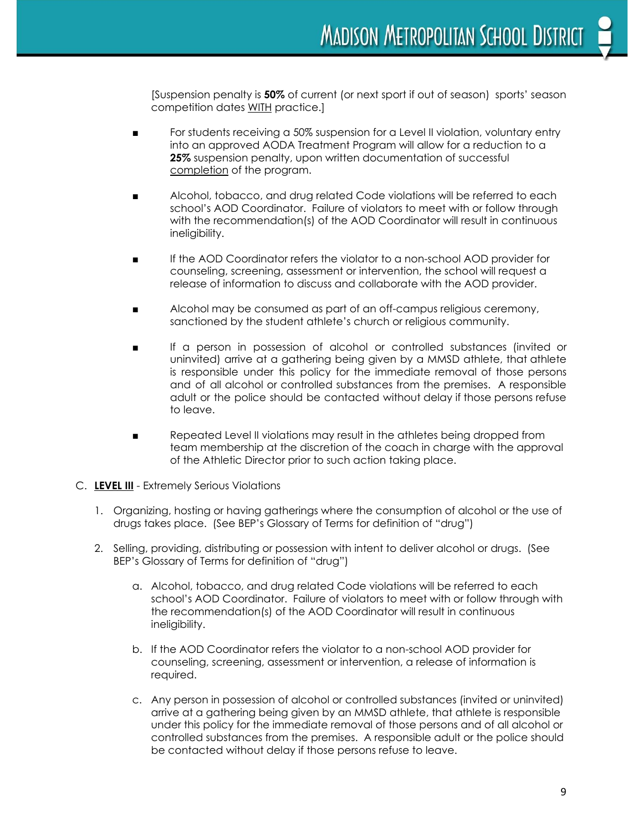[Suspension penalty is **50%** of current (or next sport if out of season) sports' season competition dates WITH practice.]

- For students receiving a 50% suspension for a Level II violation, voluntary entry into an approved AODA Treatment Program will allow for a reduction to a **25%** suspension penalty, upon written documentation of successful completion of the program.
- Alcohol, tobacco, and drug related Code violations will be referred to each school's AOD Coordinator. Failure of violators to meet with or follow through with the recommendation(s) of the AOD Coordinator will result in continuous ineligibility.
- If the AOD Coordinator refers the violator to a non-school AOD provider for counseling, screening, assessment or intervention, the school will request a release of information to discuss and collaborate with the AOD provider.
- Alcohol may be consumed as part of an off-campus religious ceremony, sanctioned by the student athlete's church or religious community.
- If a person in possession of alcohol or controlled substances (invited or uninvited) arrive at a gathering being given by a MMSD athlete, that athlete is responsible under this policy for the immediate removal of those persons and of all alcohol or controlled substances from the premises. A responsible adult or the police should be contacted without delay if those persons refuse to leave.
- Repeated Level II violations may result in the athletes being dropped from team membership at the discretion of the coach in charge with the approval of the Athletic Director prior to such action taking place.
- C. **LEVEL III** Extremely Serious Violations
	- 1. Organizing, hosting or having gatherings where the consumption of alcohol or the use of drugs takes place. (See BEP's Glossary of Terms for definition of "drug")
	- 2. Selling, providing, distributing or possession with intent to deliver alcohol or drugs. (See BEP's Glossary of Terms for definition of "drug")
		- a. Alcohol, tobacco, and drug related Code violations will be referred to each school's AOD Coordinator. Failure of violators to meet with or follow through with the recommendation(s) of the AOD Coordinator will result in continuous ineligibility.
		- b. If the AOD Coordinator refers the violator to a non-school AOD provider for counseling, screening, assessment or intervention, a release of information is required.
		- c. Any person in possession of alcohol or controlled substances (invited or uninvited) arrive at a gathering being given by an MMSD athlete, that athlete is responsible under this policy for the immediate removal of those persons and of all alcohol or controlled substances from the premises. A responsible adult or the police should be contacted without delay if those persons refuse to leave.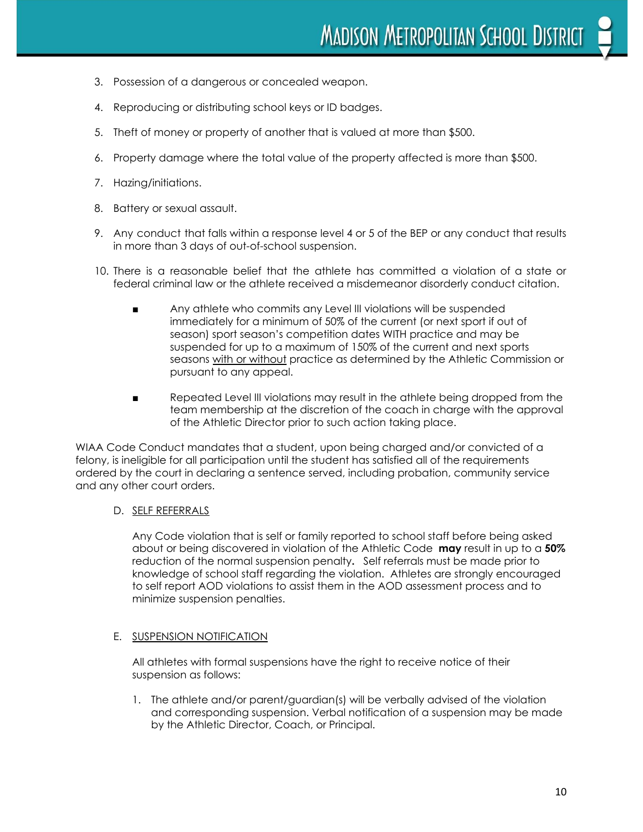- 3. Possession of a dangerous or concealed weapon.
- 4. Reproducing or distributing school keys or ID badges.
- 5. Theft of money or property of another that is valued at more than \$500.
- 6. Property damage where the total value of the property affected is more than \$500.
- 7. Hazing/initiations.
- 8. Battery or sexual assault.
- 9. Any conduct that falls within a response level 4 or 5 of the BEP or any conduct that results in more than 3 days of out-of-school suspension.
- 10. There is a reasonable belief that the athlete has committed a violation of a state or federal criminal law or the athlete received a misdemeanor disorderly conduct citation.
	- Any athlete who commits any Level III violations will be suspended immediately for a minimum of 50% of the current (or next sport if out of season) sport season's competition dates WITH practice and may be suspended for up to a maximum of 150% of the current and next sports seasons with or without practice as determined by the Athletic Commission or pursuant to any appeal.
	- Repeated Level III violations may result in the athlete being dropped from the team membership at the discretion of the coach in charge with the approval of the Athletic Director prior to such action taking place.

WIAA Code Conduct mandates that a student, upon being charged and/or convicted of a felony, is ineligible for all participation until the student has satisfied all of the requirements ordered by the court in declaring a sentence served, including probation, community service and any other court orders.

#### D. SELF REFERRALS

Any Code violation that is self or family reported to school staff before being asked about or being discovered in violation of the Athletic Code **may** result in up to a **50%** reduction of the normal suspension penalty**.** Self referrals must be made prior to knowledge of school staff regarding the violation. Athletes are strongly encouraged to self report AOD violations to assist them in the AOD assessment process and to minimize suspension penalties.

#### E. SUSPENSION NOTIFICATION

All athletes with formal suspensions have the right to receive notice of their suspension as follows:

1. The athlete and/or parent/guardian(s) will be verbally advised of the violation and corresponding suspension. Verbal notification of a suspension may be made by the Athletic Director, Coach, or Principal.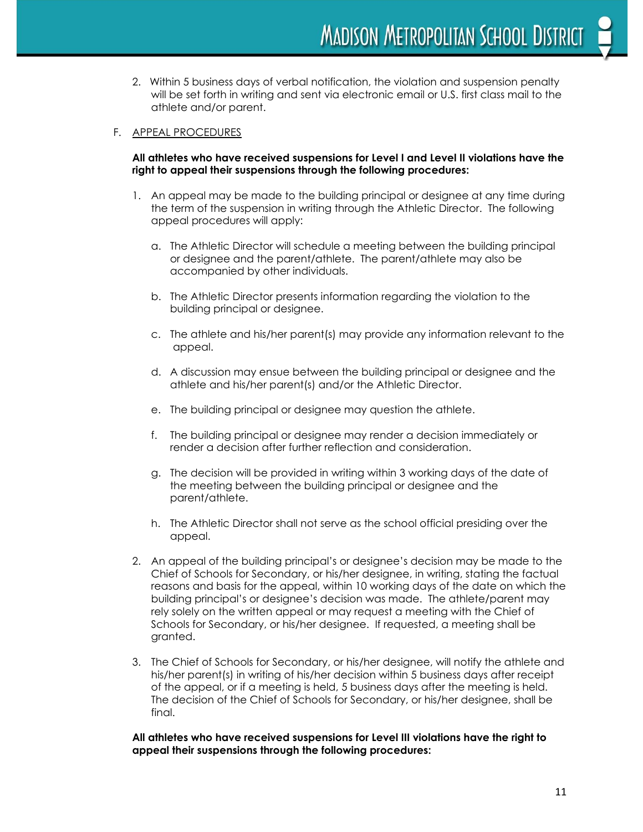**MADISON METROPOLITAN SCHOOL DISTRICT** 

2. Within 5 business days of verbal notification, the violation and suspension penalty will be set forth in writing and sent via electronic email or U.S. first class mail to the athlete and/or parent.

#### F. APPEAL PROCEDURES

#### **All athletes who have received suspensions for Level I and Level II violations have the right to appeal their suspensions through the following procedures:**

- 1. An appeal may be made to the building principal or designee at any time during the term of the suspension in writing through the Athletic Director. The following appeal procedures will apply:
	- a. The Athletic Director will schedule a meeting between the building principal or designee and the parent/athlete. The parent/athlete may also be accompanied by other individuals.
	- b. The Athletic Director presents information regarding the violation to the building principal or designee.
	- c. The athlete and his/her parent(s) may provide any information relevant to the appeal.
	- d. A discussion may ensue between the building principal or designee and the athlete and his/her parent(s) and/or the Athletic Director.
	- e. The building principal or designee may question the athlete.
	- f. The building principal or designee may render a decision immediately or render a decision after further reflection and consideration.
	- g. The decision will be provided in writing within 3 working days of the date of the meeting between the building principal or designee and the parent/athlete.
	- h. The Athletic Director shall not serve as the school official presiding over the appeal.
- 2. An appeal of the building principal's or designee's decision may be made to the Chief of Schools for Secondary, or his/her designee, in writing, stating the factual reasons and basis for the appeal, within 10 working days of the date on which the building principal's or designee's decision was made. The athlete/parent may rely solely on the written appeal or may request a meeting with the Chief of Schools for Secondary, or his/her designee. If requested, a meeting shall be granted.
- 3. The Chief of Schools for Secondary, or his/her designee, will notify the athlete and his/her parent(s) in writing of his/her decision within 5 business days after receipt of the appeal, or if a meeting is held, 5 business days after the meeting is held. The decision of the Chief of Schools for Secondary, or his/her designee, shall be final.

**All athletes who have received suspensions for Level III violations have the right to appeal their suspensions through the following procedures:**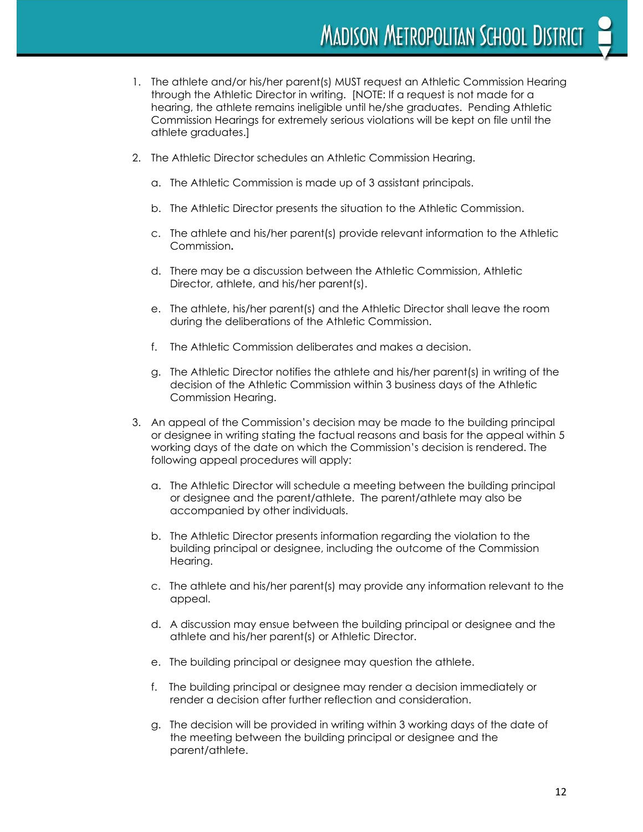- 1. The athlete and/or his/her parent(s) MUST request an Athletic Commission Hearing through the Athletic Director in writing. [NOTE: If a request is not made for a hearing, the athlete remains ineligible until he/she graduates. Pending Athletic Commission Hearings for extremely serious violations will be kept on file until the athlete graduates.]
- 2. The Athletic Director schedules an Athletic Commission Hearing.
	- a. The Athletic Commission is made up of 3 assistant principals.
	- b. The Athletic Director presents the situation to the Athletic Commission.
	- c. The athlete and his/her parent(s) provide relevant information to the Athletic Commission**.**
	- d. There may be a discussion between the Athletic Commission, Athletic Director, athlete, and his/her parent(s).
	- e. The athlete, his/her parent(s) and the Athletic Director shall leave the room during the deliberations of the Athletic Commission.
	- f. The Athletic Commission deliberates and makes a decision.
	- g. The Athletic Director notifies the athlete and his/her parent(s) in writing of the decision of the Athletic Commission within 3 business days of the Athletic Commission Hearing.
- 3. An appeal of the Commission's decision may be made to the building principal or designee in writing stating the factual reasons and basis for the appeal within 5 working days of the date on which the Commission's decision is rendered. The following appeal procedures will apply:
	- a. The Athletic Director will schedule a meeting between the building principal or designee and the parent/athlete. The parent/athlete may also be accompanied by other individuals.
	- b. The Athletic Director presents information regarding the violation to the building principal or designee, including the outcome of the Commission Hearing.
	- c. The athlete and his/her parent(s) may provide any information relevant to the appeal.
	- d. A discussion may ensue between the building principal or designee and the athlete and his/her parent(s) or Athletic Director.
	- e. The building principal or designee may question the athlete.
	- f. The building principal or designee may render a decision immediately or render a decision after further reflection and consideration.
	- g. The decision will be provided in writing within 3 working days of the date of the meeting between the building principal or designee and the parent/athlete.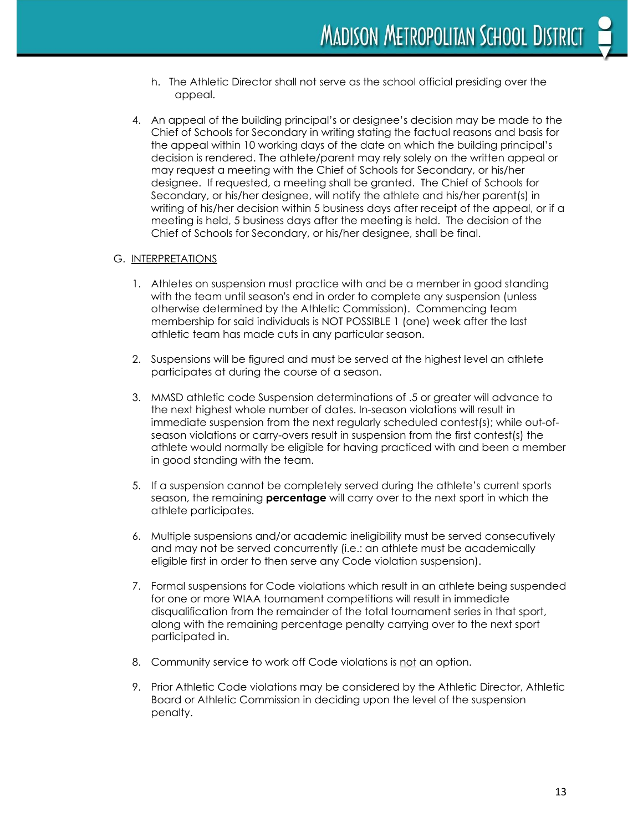- h. The Athletic Director shall not serve as the school official presiding over the appeal.
- 4. An appeal of the building principal's or designee's decision may be made to the Chief of Schools for Secondary in writing stating the factual reasons and basis for the appeal within 10 working days of the date on which the building principal's decision is rendered. The athlete/parent may rely solely on the written appeal or may request a meeting with the Chief of Schools for Secondary, or his/her designee. If requested, a meeting shall be granted. The Chief of Schools for Secondary, or his/her designee, will notify the athlete and his/her parent(s) in writing of his/her decision within 5 business days after receipt of the appeal, or if a meeting is held, 5 business days after the meeting is held. The decision of the Chief of Schools for Secondary, or his/her designee, shall be final.

#### G. INTERPRETATIONS

- 1. Athletes on suspension must practice with and be a member in good standing with the team until season's end in order to complete any suspension (unless otherwise determined by the Athletic Commission). Commencing team membership for said individuals is NOT POSSIBLE 1 (one) week after the last athletic team has made cuts in any particular season.
- 2. Suspensions will be figured and must be served at the highest level an athlete participates at during the course of a season.
- 3. MMSD athletic code Suspension determinations of .5 or greater will advance to the next highest whole number of dates. In-season violations will result in immediate suspension from the next regularly scheduled contest(s); while out-ofseason violations or carry-overs result in suspension from the first contest(s) the athlete would normally be eligible for having practiced with and been a member in good standing with the team.
- 5. If a suspension cannot be completely served during the athlete's current sports season, the remaining **percentage** will carry over to the next sport in which the athlete participates.
- 6. Multiple suspensions and/or academic ineligibility must be served consecutively and may not be served concurrently (i.e.: an athlete must be academically eligible first in order to then serve any Code violation suspension).
- 7. Formal suspensions for Code violations which result in an athlete being suspended for one or more WIAA tournament competitions will result in immediate disqualification from the remainder of the total tournament series in that sport, along with the remaining percentage penalty carrying over to the next sport participated in.
- 8. Community service to work off Code violations is not an option.
- 9. Prior Athletic Code violations may be considered by the Athletic Director, Athletic Board or Athletic Commission in deciding upon the level of the suspension penalty.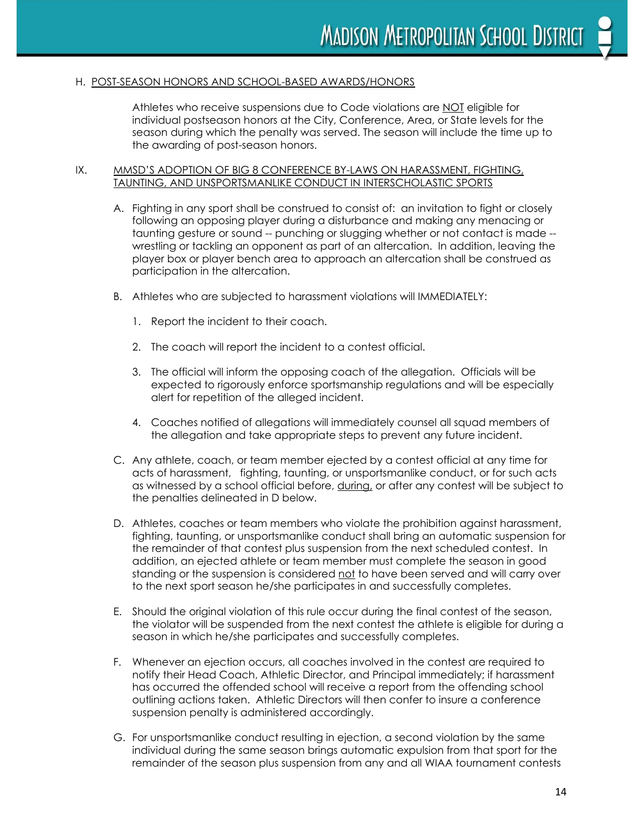#### H. POST-SEASON HONORS AND SCHOOL-BASED AWARDS/HONORS

Athletes who receive suspensions due to Code violations are NOT eligible for individual postseason honors at the City, Conference, Area, or State levels for the season during which the penalty was served. The season will include the time up to the awarding of post-season honors.

#### IX. MMSD'S ADOPTION OF BIG 8 CONFERENCE BY-LAWS ON HARASSMENT, FIGHTING, TAUNTING, AND UNSPORTSMANLIKE CONDUCT IN INTERSCHOLASTIC SPORTS

- A. Fighting in any sport shall be construed to consist of: an invitation to fight or closely following an opposing player during a disturbance and making any menacing or taunting gesture or sound -- punching or slugging whether or not contact is made - wrestling or tackling an opponent as part of an altercation. In addition, leaving the player box or player bench area to approach an altercation shall be construed as participation in the altercation.
- B. Athletes who are subjected to harassment violations will IMMEDIATELY:
	- 1. Report the incident to their coach.
	- 2. The coach will report the incident to a contest official.
	- 3. The official will inform the opposing coach of the allegation. Officials will be expected to rigorously enforce sportsmanship regulations and will be especially alert for repetition of the alleged incident.
	- 4. Coaches notified of allegations will immediately counsel all squad members of the allegation and take appropriate steps to prevent any future incident.
- C. Any athlete, coach, or team member ejected by a contest official at any time for acts of harassment, fighting, taunting, or unsportsmanlike conduct, or for such acts as witnessed by a school official before, during, or after any contest will be subject to the penalties delineated in D below.
- D. Athletes, coaches or team members who violate the prohibition against harassment, fighting, taunting, or unsportsmanlike conduct shall bring an automatic suspension for the remainder of that contest plus suspension from the next scheduled contest. In addition, an ejected athlete or team member must complete the season in good standing or the suspension is considered not to have been served and will carry over to the next sport season he/she participates in and successfully completes.
- E. Should the original violation of this rule occur during the final contest of the season, the violator will be suspended from the next contest the athlete is eligible for during a season in which he/she participates and successfully completes.
- F. Whenever an ejection occurs, all coaches involved in the contest are required to notify their Head Coach, Athletic Director, and Principal immediately; if harassment has occurred the offended school will receive a report from the offending school outlining actions taken. Athletic Directors will then confer to insure a conference suspension penalty is administered accordingly.
- G. For unsportsmanlike conduct resulting in ejection, a second violation by the same individual during the same season brings automatic expulsion from that sport for the remainder of the season plus suspension from any and all WIAA tournament contests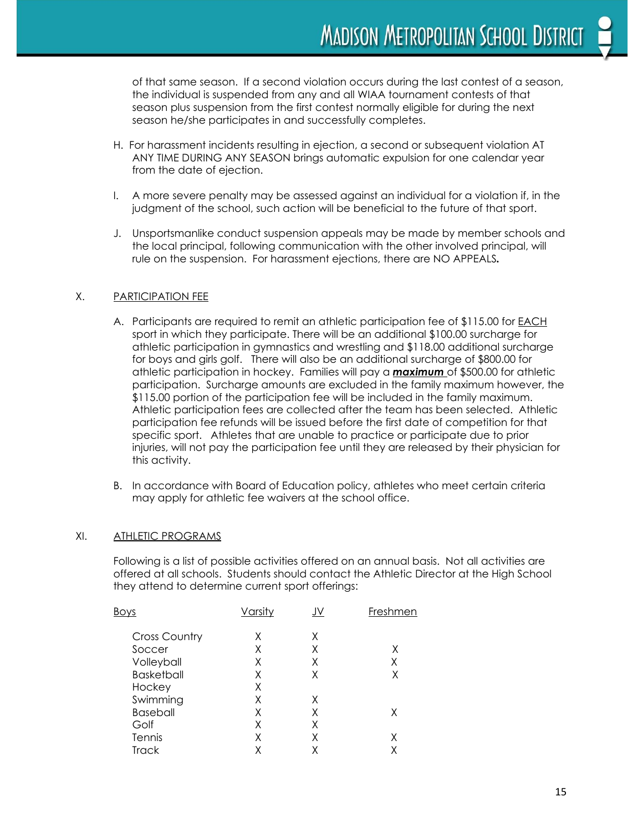of that same season. If a second violation occurs during the last contest of a season, the individual is suspended from any and all WIAA tournament contests of that season plus suspension from the first contest normally eligible for during the next season he/she participates in and successfully completes.

- H. For harassment incidents resulting in ejection, a second or subsequent violation AT ANY TIME DURING ANY SEASON brings automatic expulsion for one calendar year from the date of ejection.
- I. A more severe penalty may be assessed against an individual for a violation if, in the judgment of the school, such action will be beneficial to the future of that sport.
- J. Unsportsmanlike conduct suspension appeals may be made by member schools and the local principal, following communication with the other involved principal, will rule on the suspension. For harassment ejections, there are NO APPEALS*.*

#### X. PARTICIPATION FEE

- A. Participants are required to remit an athletic participation fee of \$115.00 for EACH sport in which they participate. There will be an additional \$100.00 surcharge for athletic participation in gymnastics and wrestling and \$118.00 additional surcharge for boys and girls golf. There will also be an additional surcharge of \$800.00 for athletic participation in hockey. Families will pay a *maximum* of \$500.00 for athletic participation. Surcharge amounts are excluded in the family maximum however, the \$115.00 portion of the participation fee will be included in the family maximum. Athletic participation fees are collected after the team has been selected. Athletic participation fee refunds will be issued before the first date of competition for that specific sport. Athletes that are unable to practice or participate due to prior injuries, will not pay the participation fee until they are released by their physician for this activity.
- B. In accordance with Board of Education policy, athletes who meet certain criteria may apply for athletic fee waivers at the school office.

#### XI. ATHLETIC PROGRAMS

Following is a list of possible activities offered on an annual basis. Not all activities are offered at all schools. Students should contact the Athletic Director at the High School they attend to determine current sport offerings:

| Bο                   | Varsity | JV | Freshmen |
|----------------------|---------|----|----------|
| <b>Cross Country</b> | χ       | χ  |          |
| Soccer               | X       | χ  | Χ        |
| Volleyball           | Χ       | Χ  | Χ        |
| <b>Basketball</b>    | Χ       | χ  | χ        |
| Hockey               | Χ       |    |          |
| Swimming             |         |    |          |
| <b>Baseball</b>      |         | Χ  |          |
| Golf                 | Χ       |    |          |
| Tennis               |         |    | Χ        |
| Track                |         |    |          |
|                      |         |    |          |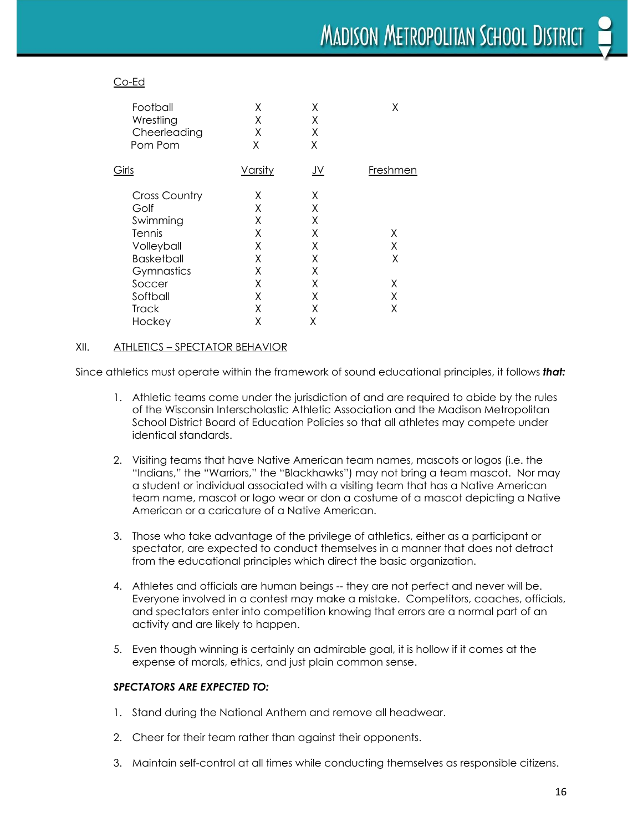#### Co-Ed

| Χ<br>Χ<br>X<br>Χ | X<br>Χ<br>Χ<br>Χ | X        |
|------------------|------------------|----------|
| <b>Varsity</b>   | <u>JV</u>        | Freshmen |
| X                | Χ                |          |
| Χ                | Χ                |          |
| X                | Χ                |          |
| Χ                | Χ                | Χ        |
| X                | Χ                | X        |
| X                | Χ                | X        |
| X                | Χ                |          |
| X                | X                | Χ        |
| Χ                | Χ                | X        |
| χ                | Χ                | Χ        |
| Χ                | Χ                |          |
|                  |                  |          |

#### XII. ATHLETICS – SPECTATOR BEHAVIOR

Since athletics must operate within the framework of sound educational principles, it follows *that:*

- 1. Athletic teams come under the jurisdiction of and are required to abide by the rules of the Wisconsin Interscholastic Athletic Association and the Madison Metropolitan School District Board of Education Policies so that all athletes may compete under identical standards.
- 2. Visiting teams that have Native American team names, mascots or logos (i.e. the "Indians," the "Warriors," the "Blackhawks") may not bring a team mascot. Nor may a student or individual associated with a visiting team that has a Native American team name, mascot or logo wear or don a costume of a mascot depicting a Native American or a caricature of a Native American.
- 3. Those who take advantage of the privilege of athletics, either as a participant or spectator, are expected to conduct themselves in a manner that does not detract from the educational principles which direct the basic organization.
- 4. Athletes and officials are human beings -- they are not perfect and never will be. Everyone involved in a contest may make a mistake. Competitors, coaches, officials, and spectators enter into competition knowing that errors are a normal part of an activity and are likely to happen.
- 5. Even though winning is certainly an admirable goal, it is hollow if it comes at the expense of morals, ethics, and just plain common sense.

#### *SPECTATORS ARE EXPECTED TO:*

- 1. Stand during the National Anthem and remove all headwear.
- 2. Cheer for their team rather than against their opponents.
- 3. Maintain self-control at all times while conducting themselves as responsible citizens.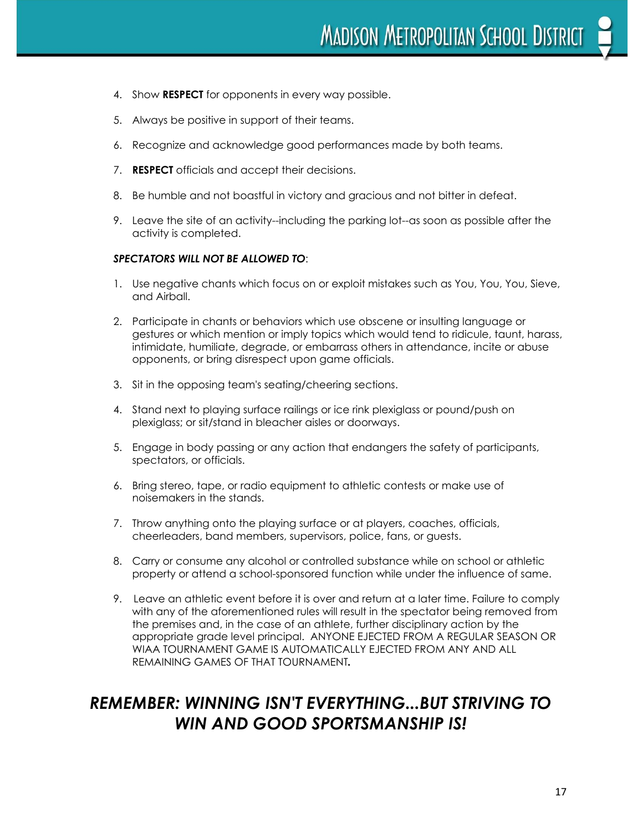- 4. Show **RESPECT** for opponents in every way possible.
- 5. Always be positive in support of their teams.
- 6. Recognize and acknowledge good performances made by both teams.
- 7. **RESPECT** officials and accept their decisions.
- 8. Be humble and not boastful in victory and gracious and not bitter in defeat.
- 9. Leave the site of an activity--including the parking lot--as soon as possible after the activity is completed.

#### *SPECTATORS WILL NOT BE ALLOWED TO*:

- 1. Use negative chants which focus on or exploit mistakes such as You, You, You, Sieve, and Airball.
- 2. Participate in chants or behaviors which use obscene or insulting language or gestures or which mention or imply topics which would tend to ridicule, taunt, harass, intimidate, humiliate, degrade, or embarrass others in attendance, incite or abuse opponents, or bring disrespect upon game officials.
- 3. Sit in the opposing team's seating/cheering sections.
- 4. Stand next to playing surface railings or ice rink plexiglass or pound/push on plexiglass; or sit/stand in bleacher aisles or doorways.
- 5. Engage in body passing or any action that endangers the safety of participants, spectators, or officials.
- 6. Bring stereo, tape, or radio equipment to athletic contests or make use of noisemakers in the stands.
- 7. Throw anything onto the playing surface or at players, coaches, officials, cheerleaders, band members, supervisors, police, fans, or guests.
- 8. Carry or consume any alcohol or controlled substance while on school or athletic property or attend a school-sponsored function while under the influence of same.
- 9. Leave an athletic event before it is over and return at a later time. Failure to comply with any of the aforementioned rules will result in the spectator being removed from the premises and, in the case of an athlete, further disciplinary action by the appropriate grade level principal. ANYONE EJECTED FROM A REGULAR SEASON OR WIAA TOURNAMENT GAME IS AUTOMATICALLY EJECTED FROM ANY AND ALL REMAINING GAMES OF THAT TOURNAMENT*.*

### *REMEMBER: WINNING ISN'T EVERYTHING...BUT STRIVING TO WIN AND GOOD SPORTSMANSHIP IS!*